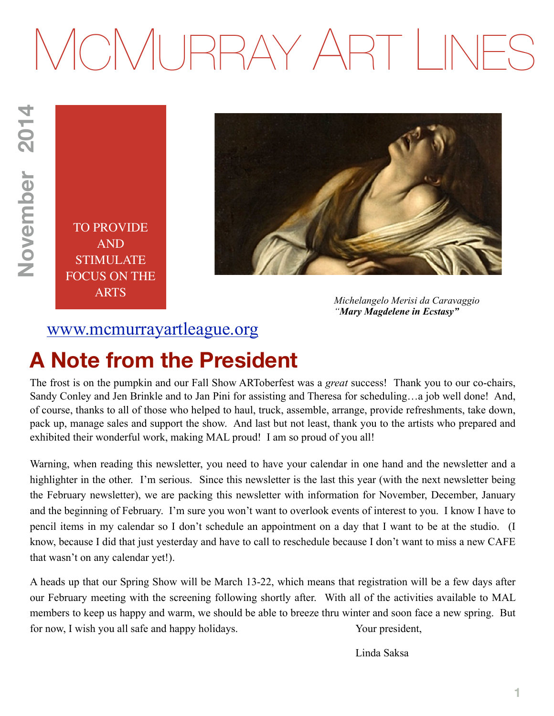# MCMURRAY ART LINES

TO PROVIDE AND STIMULATE FOCUS ON THE ARTS



*Michelangelo Merisi da Caravaggio "Mary Magdelene in Ecstasy"*

### [www.mcmurrayartleague.org](http://www.mcmurrayartleague.org)

### **A Note from the President**

The frost is on the pumpkin and our Fall Show ARToberfest was a *great* success! Thank you to our co-chairs, Sandy Conley and Jen Brinkle and to Jan Pini for assisting and Theresa for scheduling…a job well done! And, of course, thanks to all of those who helped to haul, truck, assemble, arrange, provide refreshments, take down, pack up, manage sales and support the show. And last but not least, thank you to the artists who prepared and exhibited their wonderful work, making MAL proud! I am so proud of you all!

Warning, when reading this newsletter, you need to have your calendar in one hand and the newsletter and a highlighter in the other. I'm serious. Since this newsletter is the last this year (with the next newsletter being the February newsletter), we are packing this newsletter with information for November, December, January and the beginning of February. I'm sure you won't want to overlook events of interest to you. I know I have to pencil items in my calendar so I don't schedule an appointment on a day that I want to be at the studio. (I know, because I did that just yesterday and have to call to reschedule because I don't want to miss a new CAFE that wasn't on any calendar yet!).

A heads up that our Spring Show will be March 13-22, which means that registration will be a few days after our February meeting with the screening following shortly after. With all of the activities available to MAL members to keep us happy and warm, we should be able to breeze thru winter and soon face a new spring. But for now, I wish you all safe and happy holidays. Your president,

Linda Saksa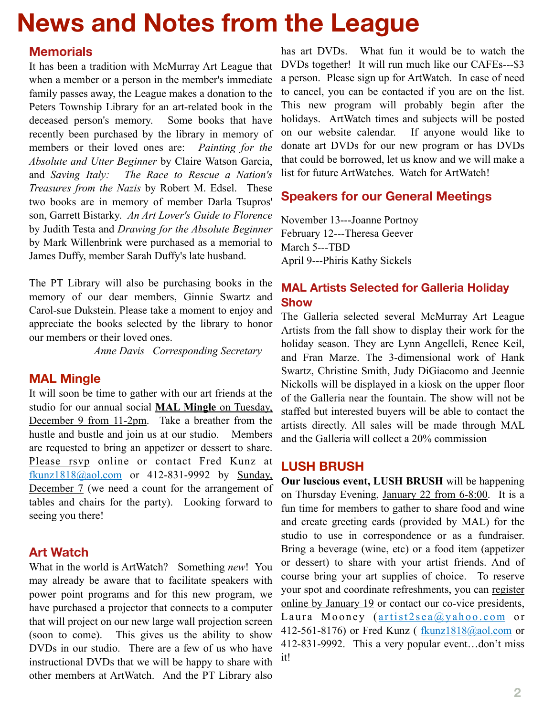# **News and Notes from the League**

### **Memorials**

It has been a tradition with McMurray Art League that when a member or a person in the member's immediate family passes away, the League makes a donation to the Peters Township Library for an art-related book in the deceased person's memory. Some books that have recently been purchased by the library in memory of members or their loved ones are: *Painting for the Absolute and Utter Beginner* by Claire Watson Garcia, and *Saving Italy: The Race to Rescue a Nation's Treasures from the Nazis* by Robert M. Edsel. These two books are in memory of member Darla Tsupros' son, Garrett Bistarky. *An Art Lover's Guide to Florence* by Judith Testa and *Drawing for the Absolute Beginner* by Mark Willenbrink were purchased as a memorial to James Duffy, member Sarah Duffy's late husband.

The PT Library will also be purchasing books in the memory of our dear members, Ginnie Swartz and Carol-sue Dukstein. Please take a moment to enjoy and appreciate the books selected by the library to honor our members or their loved ones.

*Anne Davis Corresponding Secretary*

### **MAL Mingle**

It will soon be time to gather with our art friends at the studio for our annual social **MAL Mingle** on Tuesday, December 9 from 11-2pm. Take a breather from the hustle and bustle and join us at our studio. Members are requested to bring an appetizer or dessert to share. Please rsvp online or contact Fred Kunz at [fkunz1818@aol.com](mailto:fkunz1818@aol.com) or 412-831-9992 by Sunday, December 7 (we need a count for the arrangement of tables and chairs for the party). Looking forward to seeing you there!

### **Art Watch**

What in the world is ArtWatch? Something *new*! You may already be aware that to facilitate speakers with power point programs and for this new program, we have purchased a projector that connects to a computer that will project on our new large wall projection screen (soon to come). This gives us the ability to show DVDs in our studio. There are a few of us who have instructional DVDs that we will be happy to share with other members at ArtWatch. And the PT Library also

has art DVDs. What fun it would be to watch the DVDs together! It will run much like our CAFEs---\$3 a person. Please sign up for ArtWatch. In case of need to cancel, you can be contacted if you are on the list. This new program will probably begin after the holidays. ArtWatch times and subjects will be posted on our website calendar. If anyone would like to donate art DVDs for our new program or has DVDs that could be borrowed, let us know and we will make a list for future ArtWatches. Watch for ArtWatch!

### **Speakers for our General Meetings**

November 13---Joanne Portnoy February 12---Theresa Geever March 5---TBD April 9---Phiris Kathy Sickels

### **MAL Artists Selected for Galleria Holiday Show**

The Galleria selected several McMurray Art League Artists from the fall show to display their work for the holiday season. They are Lynn Angelleli, Renee Keil, and Fran Marze. The 3-dimensional work of Hank Swartz, Christine Smith, Judy DiGiacomo and Jeennie Nickolls will be displayed in a kiosk on the upper floor of the Galleria near the fountain. The show will not be staffed but interested buyers will be able to contact the artists directly. All sales will be made through MAL and the Galleria will collect a 20% commission

### **LUSH BRUSH**

**Our luscious event, LUSH BRUSH** will be happening on Thursday Evening, January 22 from 6-8:00. It is a fun time for members to gather to share food and wine and create greeting cards (provided by MAL) for the studio to use in correspondence or as a fundraiser. Bring a beverage (wine, etc) or a food item (appetizer or dessert) to share with your artist friends. And of course bring your art supplies of choice. To reserve your spot and coordinate refreshments, you can register online by January 19 or contact our co-vice presidents, Laura Mooney ( $artist2sea@yahoo.com$  or 412-561-8176) or Fred Kunz ( [fkunz1818@aol.com](mailto:fkunz1818@aol.com) or 412-831-9992. This a very popular event…don't miss it!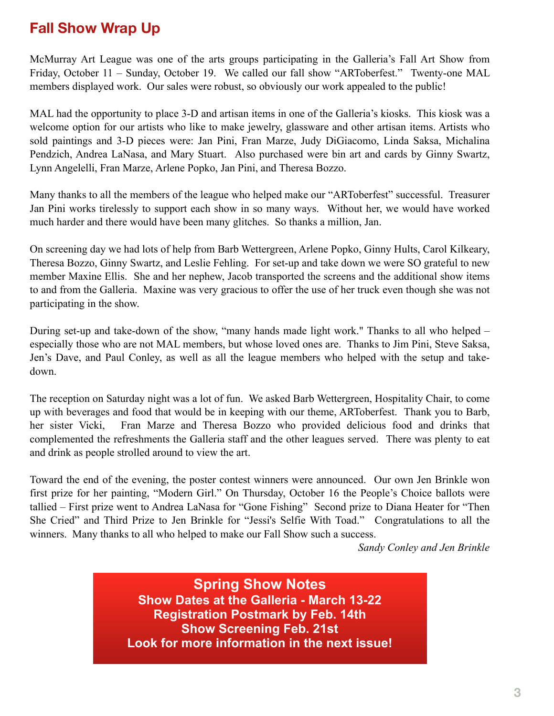### **Fall Show Wrap Up**

McMurray Art League was one of the arts groups participating in the Galleria's Fall Art Show from Friday, October 11 – Sunday, October 19. We called our fall show "ARToberfest." Twenty-one MAL members displayed work. Our sales were robust, so obviously our work appealed to the public!

MAL had the opportunity to place 3-D and artisan items in one of the Galleria's kiosks. This kiosk was a welcome option for our artists who like to make jewelry, glassware and other artisan items. Artists who sold paintings and 3-D pieces were: Jan Pini, Fran Marze, Judy DiGiacomo, Linda Saksa, Michalina Pendzich, Andrea LaNasa, and Mary Stuart. Also purchased were bin art and cards by Ginny Swartz, Lynn Angelelli, Fran Marze, Arlene Popko, Jan Pini, and Theresa Bozzo.

Many thanks to all the members of the league who helped make our "ARToberfest" successful. Treasurer Jan Pini works tirelessly to support each show in so many ways. Without her, we would have worked much harder and there would have been many glitches. So thanks a million, Jan.

On screening day we had lots of help from Barb Wettergreen, Arlene Popko, Ginny Hults, Carol Kilkeary, Theresa Bozzo, Ginny Swartz, and Leslie Fehling. For set-up and take down we were SO grateful to new member Maxine Ellis. She and her nephew, Jacob transported the screens and the additional show items to and from the Galleria. Maxine was very gracious to offer the use of her truck even though she was not participating in the show.

During set-up and take-down of the show, "many hands made light work." Thanks to all who helped – especially those who are not MAL members, but whose loved ones are. Thanks to Jim Pini, Steve Saksa, Jen's Dave, and Paul Conley, as well as all the league members who helped with the setup and takedown.

The reception on Saturday night was a lot of fun. We asked Barb Wettergreen, Hospitality Chair, to come up with beverages and food that would be in keeping with our theme, ARToberfest. Thank you to Barb, her sister Vicki, Fran Marze and Theresa Bozzo who provided delicious food and drinks that complemented the refreshments the Galleria staff and the other leagues served. There was plenty to eat and drink as people strolled around to view the art.

Toward the end of the evening, the poster contest winners were announced. Our own Jen Brinkle won first prize for her painting, "Modern Girl." On Thursday, October 16 the People's Choice ballots were tallied – First prize went to Andrea LaNasa for "Gone Fishing" Second prize to Diana Heater for "Then She Cried" and Third Prize to Jen Brinkle for "Jessi's Selfie With Toad." Congratulations to all the winners. Many thanks to all who helped to make our Fall Show such a success.

*Sandy Conley and Jen Brinkle*

**Spring Show Notes Show Dates at the Galleria - March 13-22 Registration Postmark by Feb. 14th Show Screening Feb. 21st Look for more information in the next issue!**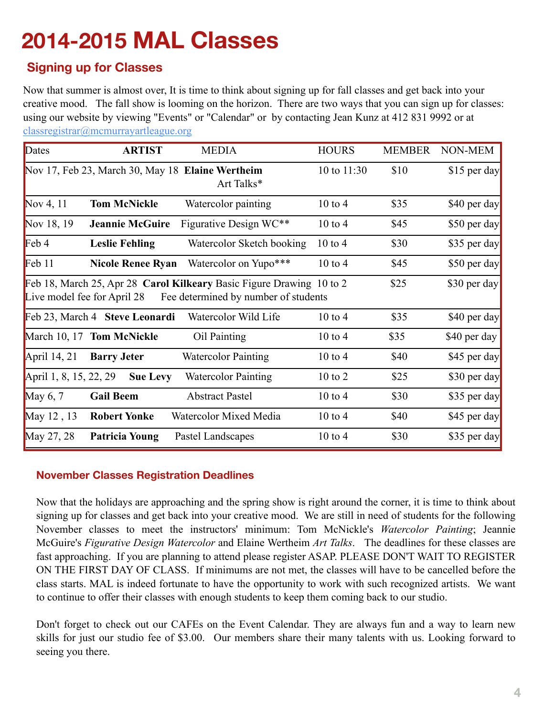# **2014-2015 MAL Classes**

### **Signing up for Classes**

Now that summer is almost over, It is time to think about signing up for fall classes and get back into your creative mood. The fall show is looming on the horizon. There are two ways that you can sign up for classes: using our website by viewing "Events" or "Calendar" or by contacting Jean Kunz at 412 831 9992 or at [classregistrar@mcmurrayartleague.org](mailto:classregistrar@mcmurrayartleague.org) 

| Dates                       | <b>ARTIST</b>                  | <b>MEDIA</b>                                                                                                 | <b>HOURS</b>       | <b>MEMBER</b> | NON-MEM       |
|-----------------------------|--------------------------------|--------------------------------------------------------------------------------------------------------------|--------------------|---------------|---------------|
|                             |                                | Nov 17, Feb 23, March 30, May 18 Elaine Wertheim<br>Art Talks*                                               | 10 to 11:30        | \$10          | $$15$ per day |
| Nov 4, 11                   | <b>Tom McNickle</b>            | Watercolor painting                                                                                          | $10 \text{ to } 4$ | \$35          | \$40 per day  |
| Nov 18, 19                  | <b>Jeannie McGuire</b>         | Figurative Design WC**                                                                                       | $10$ to $4$        | \$45          | \$50 per day  |
| Feb 4                       | <b>Leslie Fehling</b>          | Watercolor Sketch booking                                                                                    | $10 \text{ to } 4$ | \$30          | \$35 per day  |
| Feb 11                      | <b>Nicole Renee Ryan</b>       | Watercolor on Yupo***                                                                                        | $10$ to $4$        | \$45          | \$50 per day  |
| Live model fee for April 28 |                                | Feb 18, March 25, Apr 28 Carol Kilkeary Basic Figure Drawing 10 to 2<br>Fee determined by number of students |                    | \$25          | \$30 per day  |
|                             | Feb 23, March 4 Steve Leonardi | Watercolor Wild Life                                                                                         | $10$ to $4$        | \$35          | \$40 per day  |
|                             | March 10, 17 Tom McNickle      | Oil Painting                                                                                                 | $10 \text{ to } 4$ | \$35          | \$40 per day  |
| April 14, 21                | <b>Barry Jeter</b>             | <b>Watercolor Painting</b>                                                                                   | $10$ to $4$        | \$40          | \$45 per day  |
| April 1, 8, 15, 22, 29      | <b>Sue Levy</b>                | <b>Watercolor Painting</b>                                                                                   | $10$ to $2$        | \$25          | \$30 per day  |
| May $6, 7$                  | <b>Gail Beem</b>               | <b>Abstract Pastel</b>                                                                                       | $10$ to $4$        | \$30          | \$35 per day  |
| May 12, 13                  | <b>Robert Yonke</b>            | Watercolor Mixed Media                                                                                       | $10$ to $4$        | \$40          | \$45 per day  |
| May 27, 28                  | <b>Patricia Young</b>          | Pastel Landscapes                                                                                            | $10$ to $4$        | \$30          | \$35 per day  |

### **November Classes Registration Deadlines**

Now that the holidays are approaching and the spring show is right around the corner, it is time to think about signing up for classes and get back into your creative mood. We are still in need of students for the following November classes to meet the instructors' minimum: Tom McNickle's *Watercolor Painting*; Jeannie McGuire's *Figurative Design Watercolor* and Elaine Wertheim *Art Talks*. The deadlines for these classes are fast approaching. If you are planning to attend please register ASAP. PLEASE DON'T WAIT TO REGISTER ON THE FIRST DAY OF CLASS. If minimums are not met, the classes will have to be cancelled before the class starts. MAL is indeed fortunate to have the opportunity to work with such recognized artists. We want to continue to offer their classes with enough students to keep them coming back to our studio.

Don't forget to check out our CAFEs on the Event Calendar. They are always fun and a way to learn new skills for just our studio fee of \$3.00. Our members share their many talents with us. Looking forward to seeing you there.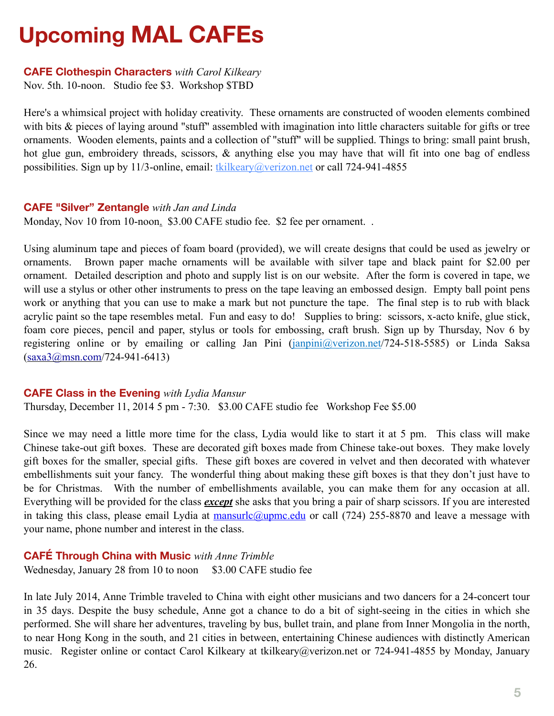# **Upcoming MAL CAFEs**

#### **CAFE Clothespin Characters** *with Carol Kilkeary*

Nov. 5th. 10-noon. Studio fee \$3. Workshop \$TBD

Here's a whimsical project with holiday creativity. These ornaments are constructed of wooden elements combined with bits & pieces of laying around "stuff" assembled with imagination into little characters suitable for gifts or tree ornaments. Wooden elements, paints and a collection of "stuff" will be supplied. Things to bring: small paint brush, hot glue gun, embroidery threads, scissors, & anything else you may have that will fit into one bag of endless possibilities. Sign up by 11/3-online, email: [tkilkeary@verizon.net](mailto:tkilkeary@verizon.net) or call 724-941-4855

#### **CAFE "Silver" Zentangle** *with Jan and Linda*

Monday, Nov 10 from 10-noon. \$3.00 CAFE studio fee. \$2 fee per ornament..

Using aluminum tape and pieces of foam board (provided), we will create designs that could be used as jewelry or ornaments. Brown paper mache ornaments will be available with silver tape and black paint for \$2.00 per ornament. Detailed description and photo and supply list is on our website. After the form is covered in tape, we will use a stylus or other other instruments to press on the tape leaving an embossed design. Empty ball point pens work or anything that you can use to make a mark but not puncture the tape. The final step is to rub with black acrylic paint so the tape resembles metal. Fun and easy to do! Supplies to bring: scissors, x-acto knife, glue stick, foam core pieces, pencil and paper, stylus or tools for embossing, craft brush. Sign up by Thursday, Nov 6 by registering online or by emailing or calling Jan Pini [\(janpini@verizon.net](mailto:janpini@verizon.net)/724-518-5585) or Linda Saksa  $(saxa3@msn.com/724-941-6413)$  $(saxa3@msn.com/724-941-6413)$ 

#### **CAFE Class in the Evening** *with Lydia Mansur*

Thursday, December 11, 2014 5 pm - 7:30. \$3.00 CAFE studio fee Workshop Fee \$5.00

Since we may need a little more time for the class, Lydia would like to start it at 5 pm. This class will make Chinese take-out gift boxes. These are decorated gift boxes made from Chinese take-out boxes. They make lovely gift boxes for the smaller, special gifts. These gift boxes are covered in velvet and then decorated with whatever embellishments suit your fancy. The wonderful thing about making these gift boxes is that they don't just have to be for Christmas. With the number of embellishments available, you can make them for any occasion at all. Everything will be provided for the class *except* she asks that you bring a pair of sharp scissors. If you are interested in taking this class, please email Lydia at  $\frac{\text{maxurlc}(a) \text{upmc.edu}}{\text{upmc.edu}}$  or call (724) 255-8870 and leave a message with your name, phone number and interest in the class.

### **CAFÉ Through China with Music** *with Anne Trimble*

Wednesday, January 28 from 10 to noon \$3.00 CAFE studio fee

In late July 2014, Anne Trimble traveled to China with eight other musicians and two dancers for a 24-concert tour in 35 days. Despite the busy schedule, Anne got a chance to do a bit of sight-seeing in the cities in which she performed. She will share her adventures, traveling by bus, bullet train, and plane from Inner Mongolia in the north, to near Hong Kong in the south, and 21 cities in between, entertaining Chinese audiences with distinctly American music. Register online or contact Carol Kilkeary at tkilkeary@verizon.net or 724-941-4855 by Monday, January 26.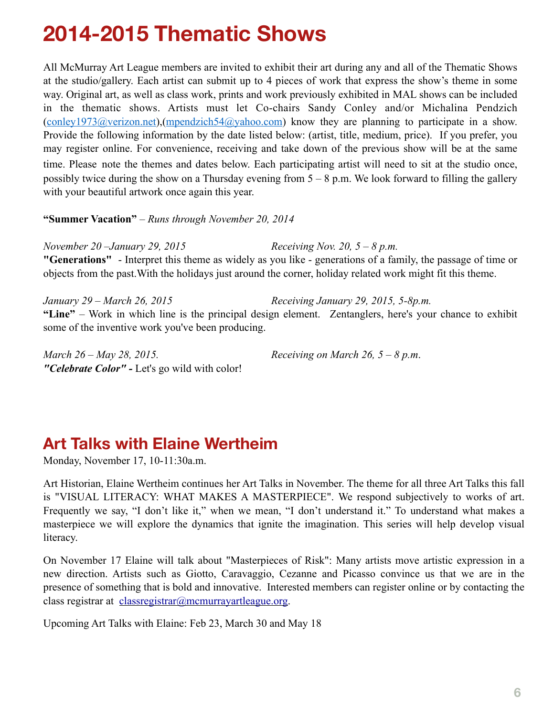### **2014-2015 Thematic Shows**

All McMurray Art League members are invited to exhibit their art during any and all of the Thematic Shows at the studio/gallery. Each artist can submit up to 4 pieces of work that express the show's theme in some way. Original art, as well as class work, prints and work previously exhibited in MAL shows can be included in the thematic shows. Artists must let Co-chairs Sandy Conley and/or Michalina Pendzich ([conley1973@verizon.net\)](mailto:conley1973@verizon.net),([mpendzich54@yahoo.com](mailto:mpendzich54@yahoo.com)) know they are planning to participate in a show. Provide the following information by the date listed below: (artist, title, medium, price). If you prefer, you may register online. For convenience, receiving and take down of the previous show will be at the same time. Please note the themes and dates below. Each participating artist will need to sit at the studio once, possibly twice during the show on a Thursday evening from  $5 - 8$  p.m. We look forward to filling the gallery with your beautiful artwork once again this year.

**"Summer Vacation"** – *Runs through November 20, 2014*

*November 20 –January 29, 2015 Receiving Nov. 20, 5 – 8 p.m.*  **"Generations"** - Interpret this theme as widely as you like - generations of a family, the passage of time or objects from the past.With the holidays just around the corner, holiday related work might fit this theme.

*January 29 – March 26, 2015 Receiving January 29, 2015, 5-8p.m.*  **"Line"** – Work in which line is the principal design element. Zentanglers, here's your chance to exhibit some of the inventive work you've been producing.

*March 26 – May 28, 2015. Receiving on March 26, 5 – 8 p.m*. *"Celebrate Color" -* Let's go wild with color!

### **Art Talks with Elaine Wertheim**

Monday, November 17, 10-11:30a.m.

Art Historian, Elaine Wertheim continues her Art Talks in November. The theme for all three Art Talks this fall is "VISUAL LITERACY: WHAT MAKES A MASTERPIECE". We respond subjectively to works of art. Frequently we say, "I don't like it," when we mean, "I don't understand it." To understand what makes a masterpiece we will explore the dynamics that ignite the imagination. This series will help develop visual literacy.

On November 17 Elaine will talk about "Masterpieces of Risk": Many artists move artistic expression in a new direction. Artists such as Giotto, Caravaggio, Cezanne and Picasso convince us that we are in the presence of something that is bold and innovative. Interested members can register online or by contacting the class registrar at [classregistrar@mcmurrayartleague.org](mailto:classregistrar@mcmurrayartleague.org).

Upcoming Art Talks with Elaine: Feb 23, March 30 and May 18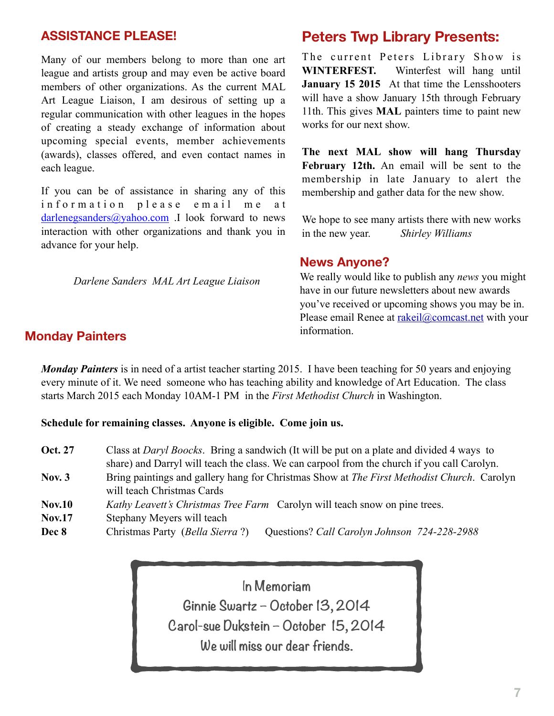### **ASSISTANCE PLEASE!**

Many of our members belong to more than one art league and artists group and may even be active board members of other organizations. As the current MAL Art League Liaison, I am desirous of setting up a regular communication with other leagues in the hopes of creating a steady exchange of information about upcoming special events, member achievements (awards), classes offered, and even contact names in each league.

If you can be of assistance in sharing any of this information please email me at [darlenegsanders@yahoo.com](mailto:darlenegsanders@yahoo.com) .I look forward to news interaction with other organizations and thank you in advance for your help.

*Darlene Sanders MAL Art League Liaison* 

### **Peters Twp Library Presents:**

The current Peters Library Show is **WINTERFEST.** Winterfest will hang until **January 15 2015** At that time the Lensshooters will have a show January 15th through February 11th. This gives **MAL** painters time to paint new works for our next show.

**The next MAL show will hang Thursday February 12th.** An email will be sent to the membership in late January to alert the membership and gather data for the new show.

We hope to see many artists there with new works in the new year. *Shirley Williams*

#### **News Anyone?**

We really would like to publish any *news* you might have in our future newsletters about new awards you've received or upcoming shows you may be in. Please email Renee at [rakeil@comcast.net](mailto:rakeil@comcast.net) with your information.

### **Monday Painters**

*Monday Painters* is in need of a artist teacher starting 2015. I have been teaching for 50 years and enjoying every minute of it. We need someone who has teaching ability and knowledge of Art Education. The class starts March 2015 each Monday 10AM-1 PM in the *First Methodist Church* in Washington.

**Schedule for remaining classes. Anyone is eligible. Come join us.** 

| <b>Oct. 27</b> | Class at <i>Daryl Boocks</i> . Bring a sandwich (It will be put on a plate and divided 4 ways to |  |  |  |  |
|----------------|--------------------------------------------------------------------------------------------------|--|--|--|--|
|                | share) and Darryl will teach the class. We can carpool from the church if you call Carolyn.      |  |  |  |  |
| Nov. $3$       | Bring paintings and gallery hang for Christmas Show at The First Methodist Church. Carolyn       |  |  |  |  |
|                | will teach Christmas Cards                                                                       |  |  |  |  |
| <b>Nov.10</b>  | <i>Kathy Leavett's Christmas Tree Farm</i> Carolyn will teach snow on pine trees.                |  |  |  |  |
| <b>Nov.17</b>  | Stephany Meyers will teach                                                                       |  |  |  |  |

**Dec 8** Christmas Party (*Bella Sierra* ?) Questions? *Call Carolyn Johnson 724-228-2988* 

I**n Memoriam Ginnie Swartz – October 13, 2014 Carol-sue Dukstein – October 15, 2014 We will miss our dear friends.**